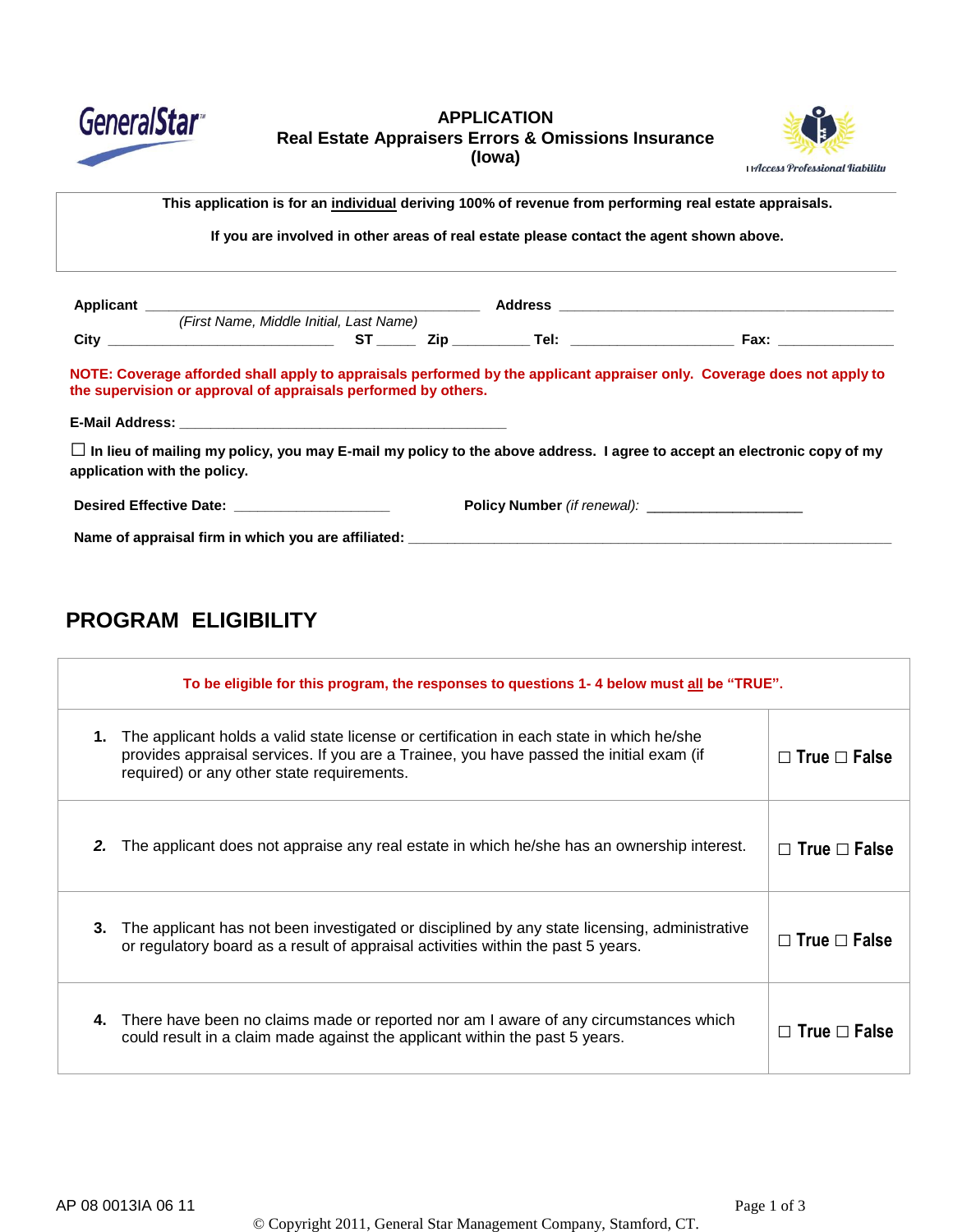

### **APPLICATION Real Estate Appraisers Errors & Omissions Insurance (Iowa)**



cer's Name of Section This application is for an <u>individual</u> deriving 100% of revenue from performing real estate appraisals.

If you are involved in other areas of real estate please contact the agent shown above.

|                                                                | (First Name, Middle Initial, Last Name) |  |                                                                                                                                |
|----------------------------------------------------------------|-----------------------------------------|--|--------------------------------------------------------------------------------------------------------------------------------|
|                                                                |                                         |  |                                                                                                                                |
| the supervision or approval of appraisals performed by others. |                                         |  | NOTE: Coverage afforded shall apply to appraisals performed by the applicant appraiser only. Coverage does not apply to        |
|                                                                |                                         |  |                                                                                                                                |
|                                                                |                                         |  | $\Box$ In lieu of mailing my policy, you may E-mail my policy to the above address. I agree to accept an electronic copy of my |
| application with the policy.                                   |                                         |  |                                                                                                                                |
| Desired Effective Date: New York 1999                          |                                         |  |                                                                                                                                |

# **PROGRAM ELIGIBILITY**

|    | To be eligible for this program, the responses to questions 1-4 below must all be "TRUE".                                                                                                                                         |                          |  |  |
|----|-----------------------------------------------------------------------------------------------------------------------------------------------------------------------------------------------------------------------------------|--------------------------|--|--|
| 1. | The applicant holds a valid state license or certification in each state in which he/she<br>provides appraisal services. If you are a Trainee, you have passed the initial exam (if<br>required) or any other state requirements. | $\Box$ True $\Box$ False |  |  |
| 2. | The applicant does not appraise any real estate in which he/she has an ownership interest.                                                                                                                                        | $\Box$ True $\Box$ False |  |  |
| 3. | The applicant has not been investigated or disciplined by any state licensing, administrative<br>or regulatory board as a result of appraisal activities within the past 5 years.                                                 | $\Box$ True $\Box$ False |  |  |
| 4. | There have been no claims made or reported nor am I aware of any circumstances which<br>could result in a claim made against the applicant within the past 5 years.                                                               | $\Box$ True $\Box$ False |  |  |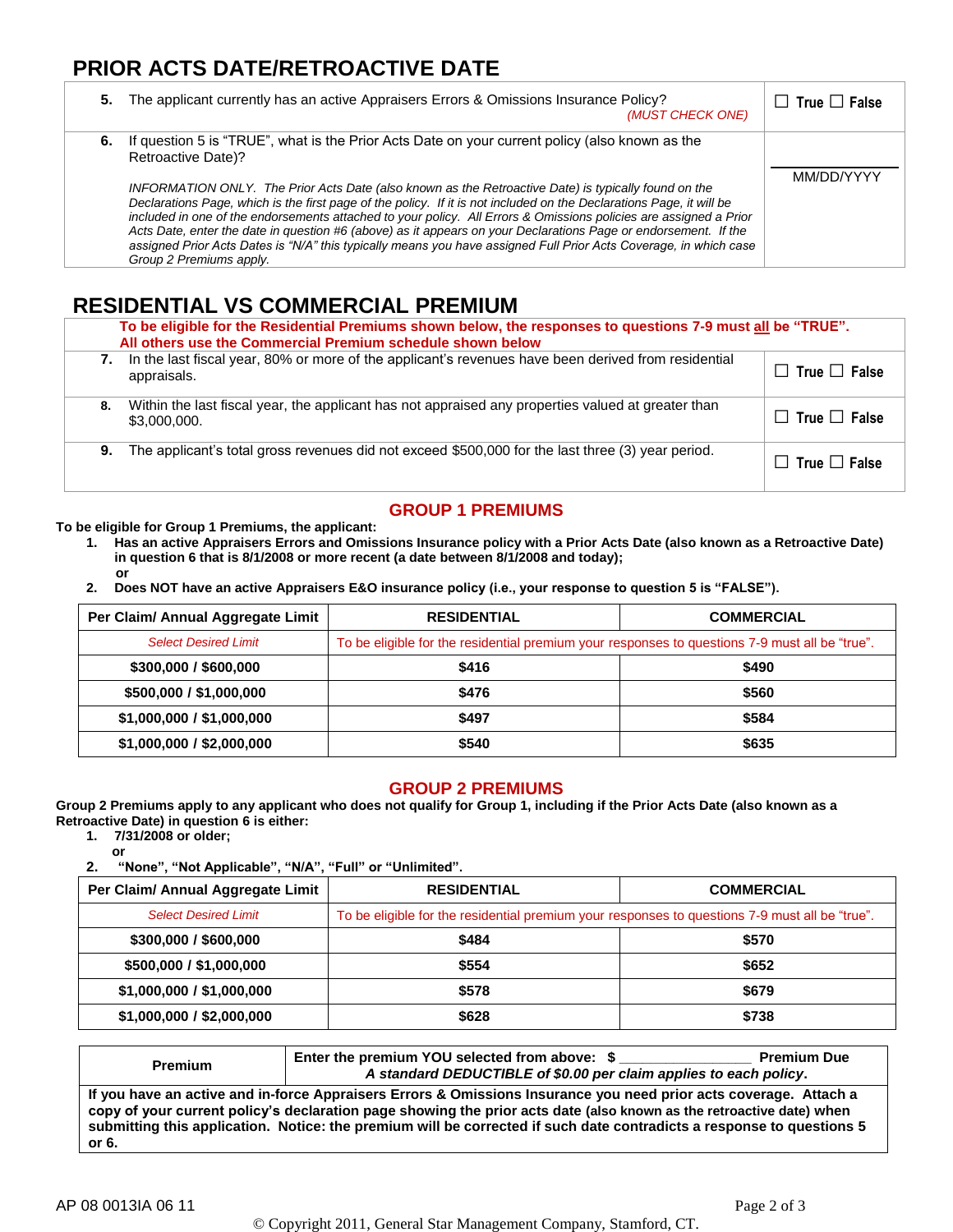## **PRIOR ACTS DATE/RETROACTIVE DATE**

| 5. | The applicant currently has an active Appraisers Errors & Omissions Insurance Policy?<br>(MUST CHECK ONE)                                                                                                                                                                                                                                                                                                                                                                                                                                                                                                                                                                                                                                       | $\Box$ True $\Box$ False |
|----|-------------------------------------------------------------------------------------------------------------------------------------------------------------------------------------------------------------------------------------------------------------------------------------------------------------------------------------------------------------------------------------------------------------------------------------------------------------------------------------------------------------------------------------------------------------------------------------------------------------------------------------------------------------------------------------------------------------------------------------------------|--------------------------|
|    | 6. If question 5 is "TRUE", what is the Prior Acts Date on your current policy (also known as the<br>Retroactive Date)?<br>INFORMATION ONLY. The Prior Acts Date (also known as the Retroactive Date) is typically found on the<br>Declarations Page, which is the first page of the policy. If it is not included on the Declarations Page, it will be<br>included in one of the endorsements attached to your policy. All Errors & Omissions policies are assigned a Prior<br>Acts Date, enter the date in question #6 (above) as it appears on your Declarations Page or endorsement. If the<br>assigned Prior Acts Dates is "N/A" this typically means you have assigned Full Prior Acts Coverage, in which case<br>Group 2 Premiums apply. | MM/DD/YYYY               |

## **RESIDENTIAL VS COMMERCIAL PREMIUM**

|    | To be eligible for the Residential Premiums shown below, the responses to questions 7-9 must all be "TRUE".<br>All others use the Commercial Premium schedule shown below |                          |  |  |
|----|---------------------------------------------------------------------------------------------------------------------------------------------------------------------------|--------------------------|--|--|
| 7. | In the last fiscal year, 80% or more of the applicant's revenues have been derived from residential<br>appraisals.                                                        | $\Box$ True $\Box$ False |  |  |
| 8. | Within the last fiscal year, the applicant has not appraised any properties valued at greater than<br>\$3,000,000.                                                        | $\Box$ True $\Box$ False |  |  |
| 9. | The applicant's total gross revenues did not exceed \$500,000 for the last three (3) year period.                                                                         | $\Box$ True $\Box$ False |  |  |

## **GROUP 1 PREMIUMS**

**To be eligible for Group 1 Premiums, the applicant:**

- **1. Has an active Appraisers Errors and Omissions Insurance policy with a Prior Acts Date (also known as a Retroactive Date) in question 6 that is 8/1/2008 or more recent (a date between 8/1/2008 and today); or**
- **2. Does NOT have an active Appraisers E&O insurance policy (i.e., your response to question 5 is "FALSE").**

| Per Claim/ Annual Aggregate Limit | <b>RESIDENTIAL</b>                                                                             | <b>COMMERCIAL</b> |  |
|-----------------------------------|------------------------------------------------------------------------------------------------|-------------------|--|
| <b>Select Desired Limit</b>       | To be eligible for the residential premium your responses to questions 7-9 must all be "true". |                   |  |
| \$300,000 / \$600,000             | \$416                                                                                          | \$490             |  |
| \$500,000 / \$1,000,000           | \$476                                                                                          | \$560             |  |
| \$1,000,000 / \$1,000,000         | \$497                                                                                          | \$584             |  |
| \$1,000,000 / \$2,000,000         | \$540                                                                                          | \$635             |  |

#### **GROUP 2 PREMIUMS**

**Group 2 Premiums apply to any applicant who does not qualify for Group 1, including if the Prior Acts Date (also known as a Retroactive Date) in question 6 is either:**

**1. 7/31/2008 or older;**

**or 2. "None", "Not Applicable", "N/A", "Full" or "Unlimited".**

| Per Claim/ Annual Aggregate Limit | <b>RESIDENTIAL</b>                                                                             | <b>COMMERCIAL</b> |  |
|-----------------------------------|------------------------------------------------------------------------------------------------|-------------------|--|
| <b>Select Desired Limit</b>       | To be eligible for the residential premium your responses to questions 7-9 must all be "true". |                   |  |
| \$300,000 / \$600,000             | \$484                                                                                          | \$570             |  |
| \$500,000 / \$1,000,000           | \$554                                                                                          | \$652             |  |
| \$1,000,000 / \$1,000,000         | \$578                                                                                          | \$679             |  |
| \$1,000,000 / \$2,000,000         | \$628                                                                                          | \$738             |  |

| <b>Premium</b>                                                                                                                                                                                                                                                                                                                                                              | Enter the premium YOU selected from above: \$<br>A standard DEDUCTIBLE of \$0.00 per claim applies to each policy. | <b>Premium Due</b> |  |
|-----------------------------------------------------------------------------------------------------------------------------------------------------------------------------------------------------------------------------------------------------------------------------------------------------------------------------------------------------------------------------|--------------------------------------------------------------------------------------------------------------------|--------------------|--|
| If you have an active and in-force Appraisers Errors & Omissions Insurance you need prior acts coverage. Attach a<br>copy of your current policy's declaration page showing the prior acts date (also known as the retroactive date) when<br>submitting this application. Notice: the premium will be corrected if such date contradicts a response to questions 5<br>or 6. |                                                                                                                    |                    |  |